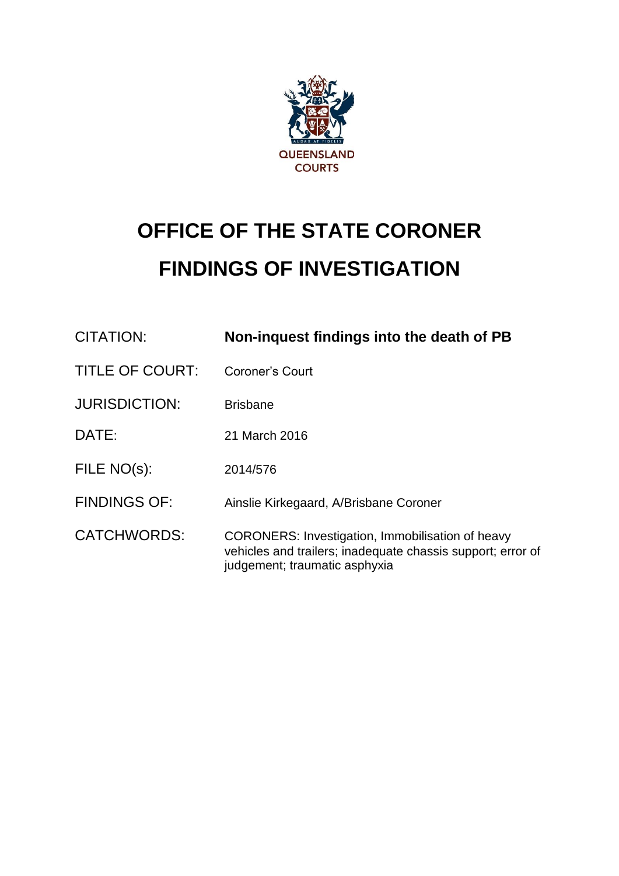

# **OFFICE OF THE STATE CORONER FINDINGS OF INVESTIGATION**

| CITATION:              | Non-inquest findings into the death of PB                                                                                                        |
|------------------------|--------------------------------------------------------------------------------------------------------------------------------------------------|
| <b>TITLE OF COURT:</b> | Coroner's Court                                                                                                                                  |
| <b>JURISDICTION:</b>   | <b>Brisbane</b>                                                                                                                                  |
| DATE:                  | 21 March 2016                                                                                                                                    |
| FILE NO(s):            | 2014/576                                                                                                                                         |
| <b>FINDINGS OF:</b>    | Ainslie Kirkegaard, A/Brisbane Coroner                                                                                                           |
| <b>CATCHWORDS:</b>     | CORONERS: Investigation, Immobilisation of heavy<br>vehicles and trailers; inadequate chassis support; error of<br>judgement; traumatic asphyxia |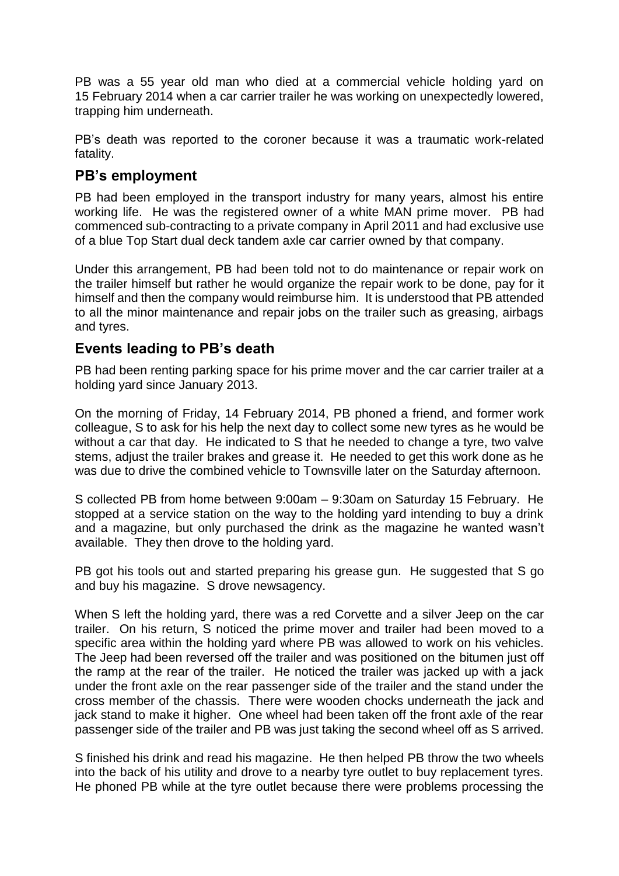PB was a 55 year old man who died at a commercial vehicle holding yard on 15 February 2014 when a car carrier trailer he was working on unexpectedly lowered, trapping him underneath.

PB's death was reported to the coroner because it was a traumatic work-related fatality.

## **PB's employment**

PB had been employed in the transport industry for many years, almost his entire working life. He was the registered owner of a white MAN prime mover. PB had commenced sub-contracting to a private company in April 2011 and had exclusive use of a blue Top Start dual deck tandem axle car carrier owned by that company.

Under this arrangement, PB had been told not to do maintenance or repair work on the trailer himself but rather he would organize the repair work to be done, pay for it himself and then the company would reimburse him. It is understood that PB attended to all the minor maintenance and repair jobs on the trailer such as greasing, airbags and tyres.

## **Events leading to PB's death**

PB had been renting parking space for his prime mover and the car carrier trailer at a holding yard since January 2013.

On the morning of Friday, 14 February 2014, PB phoned a friend, and former work colleague, S to ask for his help the next day to collect some new tyres as he would be without a car that day. He indicated to S that he needed to change a tyre, two valve stems, adjust the trailer brakes and grease it. He needed to get this work done as he was due to drive the combined vehicle to Townsville later on the Saturday afternoon.

S collected PB from home between 9:00am – 9:30am on Saturday 15 February. He stopped at a service station on the way to the holding yard intending to buy a drink and a magazine, but only purchased the drink as the magazine he wanted wasn't available. They then drove to the holding yard.

PB got his tools out and started preparing his grease gun. He suggested that S go and buy his magazine. S drove newsagency.

When S left the holding yard, there was a red Corvette and a silver Jeep on the car trailer. On his return, S noticed the prime mover and trailer had been moved to a specific area within the holding yard where PB was allowed to work on his vehicles. The Jeep had been reversed off the trailer and was positioned on the bitumen just off the ramp at the rear of the trailer. He noticed the trailer was jacked up with a jack under the front axle on the rear passenger side of the trailer and the stand under the cross member of the chassis. There were wooden chocks underneath the jack and jack stand to make it higher. One wheel had been taken off the front axle of the rear passenger side of the trailer and PB was just taking the second wheel off as S arrived.

S finished his drink and read his magazine. He then helped PB throw the two wheels into the back of his utility and drove to a nearby tyre outlet to buy replacement tyres. He phoned PB while at the tyre outlet because there were problems processing the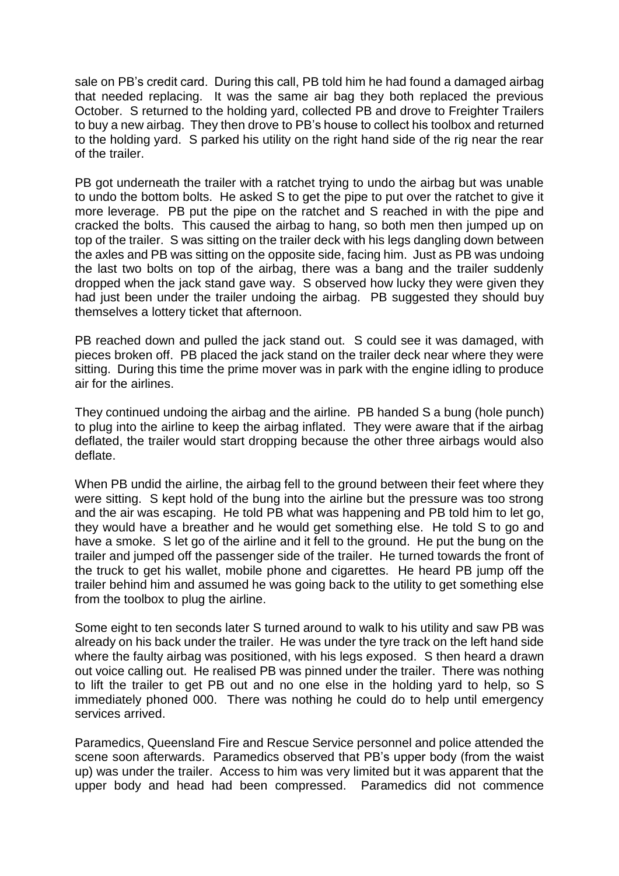sale on PB's credit card. During this call, PB told him he had found a damaged airbag that needed replacing. It was the same air bag they both replaced the previous October. S returned to the holding yard, collected PB and drove to Freighter Trailers to buy a new airbag. They then drove to PB's house to collect his toolbox and returned to the holding yard. S parked his utility on the right hand side of the rig near the rear of the trailer.

PB got underneath the trailer with a ratchet trying to undo the airbag but was unable to undo the bottom bolts. He asked S to get the pipe to put over the ratchet to give it more leverage. PB put the pipe on the ratchet and S reached in with the pipe and cracked the bolts. This caused the airbag to hang, so both men then jumped up on top of the trailer. S was sitting on the trailer deck with his legs dangling down between the axles and PB was sitting on the opposite side, facing him. Just as PB was undoing the last two bolts on top of the airbag, there was a bang and the trailer suddenly dropped when the jack stand gave way. S observed how lucky they were given they had just been under the trailer undoing the airbag. PB suggested they should buy themselves a lottery ticket that afternoon.

PB reached down and pulled the jack stand out. S could see it was damaged, with pieces broken off. PB placed the jack stand on the trailer deck near where they were sitting. During this time the prime mover was in park with the engine idling to produce air for the airlines.

They continued undoing the airbag and the airline. PB handed S a bung (hole punch) to plug into the airline to keep the airbag inflated. They were aware that if the airbag deflated, the trailer would start dropping because the other three airbags would also deflate.

When PB undid the airline, the airbag fell to the ground between their feet where they were sitting. S kept hold of the bung into the airline but the pressure was too strong and the air was escaping. He told PB what was happening and PB told him to let go, they would have a breather and he would get something else. He told S to go and have a smoke. S let go of the airline and it fell to the ground. He put the bung on the trailer and jumped off the passenger side of the trailer. He turned towards the front of the truck to get his wallet, mobile phone and cigarettes. He heard PB jump off the trailer behind him and assumed he was going back to the utility to get something else from the toolbox to plug the airline.

Some eight to ten seconds later S turned around to walk to his utility and saw PB was already on his back under the trailer. He was under the tyre track on the left hand side where the faulty airbag was positioned, with his legs exposed. S then heard a drawn out voice calling out. He realised PB was pinned under the trailer. There was nothing to lift the trailer to get PB out and no one else in the holding yard to help, so S immediately phoned 000. There was nothing he could do to help until emergency services arrived.

Paramedics, Queensland Fire and Rescue Service personnel and police attended the scene soon afterwards. Paramedics observed that PB's upper body (from the waist up) was under the trailer. Access to him was very limited but it was apparent that the upper body and head had been compressed. Paramedics did not commence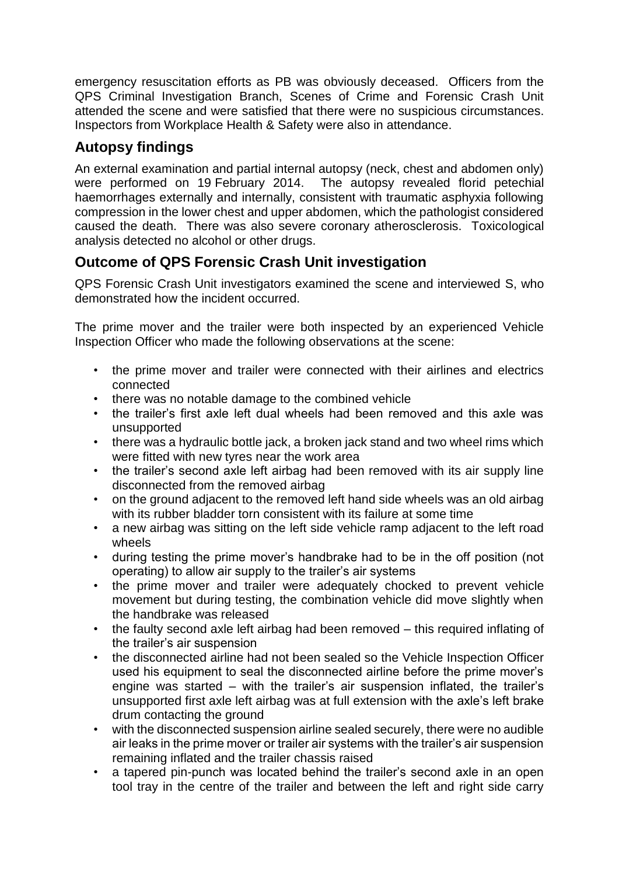emergency resuscitation efforts as PB was obviously deceased. Officers from the QPS Criminal Investigation Branch, Scenes of Crime and Forensic Crash Unit attended the scene and were satisfied that there were no suspicious circumstances. Inspectors from Workplace Health & Safety were also in attendance.

## **Autopsy findings**

An external examination and partial internal autopsy (neck, chest and abdomen only) were performed on 19 February 2014. The autopsy revealed florid petechial haemorrhages externally and internally, consistent with traumatic asphyxia following compression in the lower chest and upper abdomen, which the pathologist considered caused the death. There was also severe coronary atherosclerosis. Toxicological analysis detected no alcohol or other drugs.

## **Outcome of QPS Forensic Crash Unit investigation**

QPS Forensic Crash Unit investigators examined the scene and interviewed S, who demonstrated how the incident occurred.

The prime mover and the trailer were both inspected by an experienced Vehicle Inspection Officer who made the following observations at the scene:

- the prime mover and trailer were connected with their airlines and electrics connected
- there was no notable damage to the combined vehicle
- the trailer's first axle left dual wheels had been removed and this axle was unsupported
- there was a hydraulic bottle jack, a broken jack stand and two wheel rims which were fitted with new tyres near the work area
- the trailer's second axle left airbag had been removed with its air supply line disconnected from the removed airbag
- on the ground adjacent to the removed left hand side wheels was an old airbag with its rubber bladder torn consistent with its failure at some time
- a new airbag was sitting on the left side vehicle ramp adjacent to the left road wheels
- during testing the prime mover's handbrake had to be in the off position (not operating) to allow air supply to the trailer's air systems
- the prime mover and trailer were adequately chocked to prevent vehicle movement but during testing, the combination vehicle did move slightly when the handbrake was released
- the faulty second axle left airbag had been removed this required inflating of the trailer's air suspension
- the disconnected airline had not been sealed so the Vehicle Inspection Officer used his equipment to seal the disconnected airline before the prime mover's engine was started – with the trailer's air suspension inflated, the trailer's unsupported first axle left airbag was at full extension with the axle's left brake drum contacting the ground
- with the disconnected suspension airline sealed securely, there were no audible air leaks in the prime mover or trailer air systems with the trailer's air suspension remaining inflated and the trailer chassis raised
- a tapered pin-punch was located behind the trailer's second axle in an open tool tray in the centre of the trailer and between the left and right side carry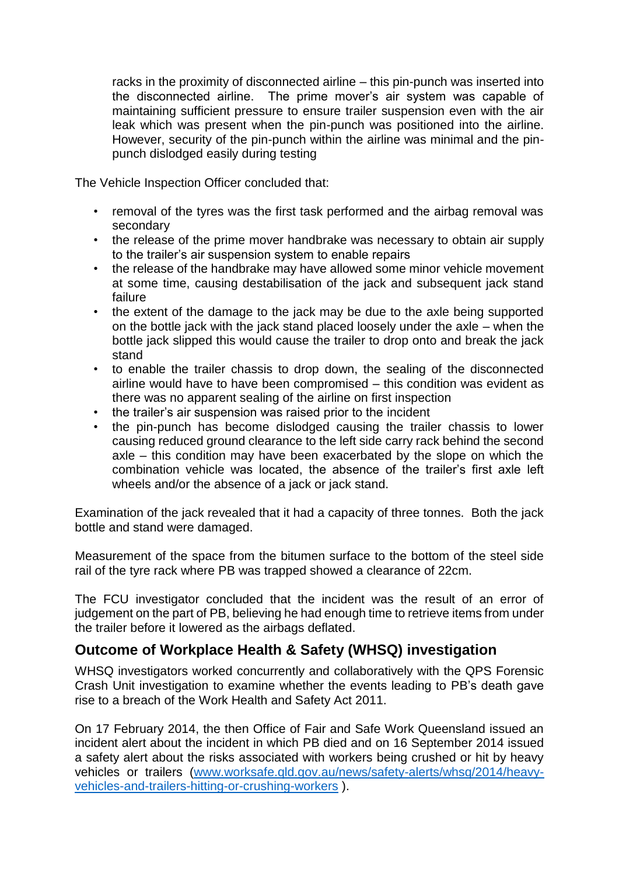racks in the proximity of disconnected airline – this pin-punch was inserted into the disconnected airline. The prime mover's air system was capable of maintaining sufficient pressure to ensure trailer suspension even with the air leak which was present when the pin-punch was positioned into the airline. However, security of the pin-punch within the airline was minimal and the pinpunch dislodged easily during testing

The Vehicle Inspection Officer concluded that:

- removal of the tyres was the first task performed and the airbag removal was secondary
- the release of the prime mover handbrake was necessary to obtain air supply to the trailer's air suspension system to enable repairs
- the release of the handbrake may have allowed some minor vehicle movement at some time, causing destabilisation of the jack and subsequent jack stand failure
- the extent of the damage to the jack may be due to the axle being supported on the bottle jack with the jack stand placed loosely under the axle – when the bottle jack slipped this would cause the trailer to drop onto and break the jack stand
- to enable the trailer chassis to drop down, the sealing of the disconnected airline would have to have been compromised – this condition was evident as there was no apparent sealing of the airline on first inspection
- the trailer's air suspension was raised prior to the incident
- the pin-punch has become dislodged causing the trailer chassis to lower causing reduced ground clearance to the left side carry rack behind the second axle – this condition may have been exacerbated by the slope on which the combination vehicle was located, the absence of the trailer's first axle left wheels and/or the absence of a jack or jack stand.

Examination of the jack revealed that it had a capacity of three tonnes. Both the jack bottle and stand were damaged.

Measurement of the space from the bitumen surface to the bottom of the steel side rail of the tyre rack where PB was trapped showed a clearance of 22cm.

The FCU investigator concluded that the incident was the result of an error of judgement on the part of PB, believing he had enough time to retrieve items from under the trailer before it lowered as the airbags deflated.

## **Outcome of Workplace Health & Safety (WHSQ) investigation**

WHSQ investigators worked concurrently and collaboratively with the QPS Forensic Crash Unit investigation to examine whether the events leading to PB's death gave rise to a breach of the Work Health and Safety Act 2011.

On 17 February 2014, the then Office of Fair and Safe Work Queensland issued an incident alert about the incident in which PB died and on 16 September 2014 issued a safety alert about the risks associated with workers being crushed or hit by heavy vehicles or trailers [\(www.worksafe.qld.gov.au/news/safety-alerts/whsq/2014/heavy](http://www.worksafe.qld.gov.au/news/safety-alerts/whsq/2014/heavy-vehicles-and-trailers-hitting-or-crushing-workers)[vehicles-and-trailers-hitting-or-crushing-workers](http://www.worksafe.qld.gov.au/news/safety-alerts/whsq/2014/heavy-vehicles-and-trailers-hitting-or-crushing-workers) ).